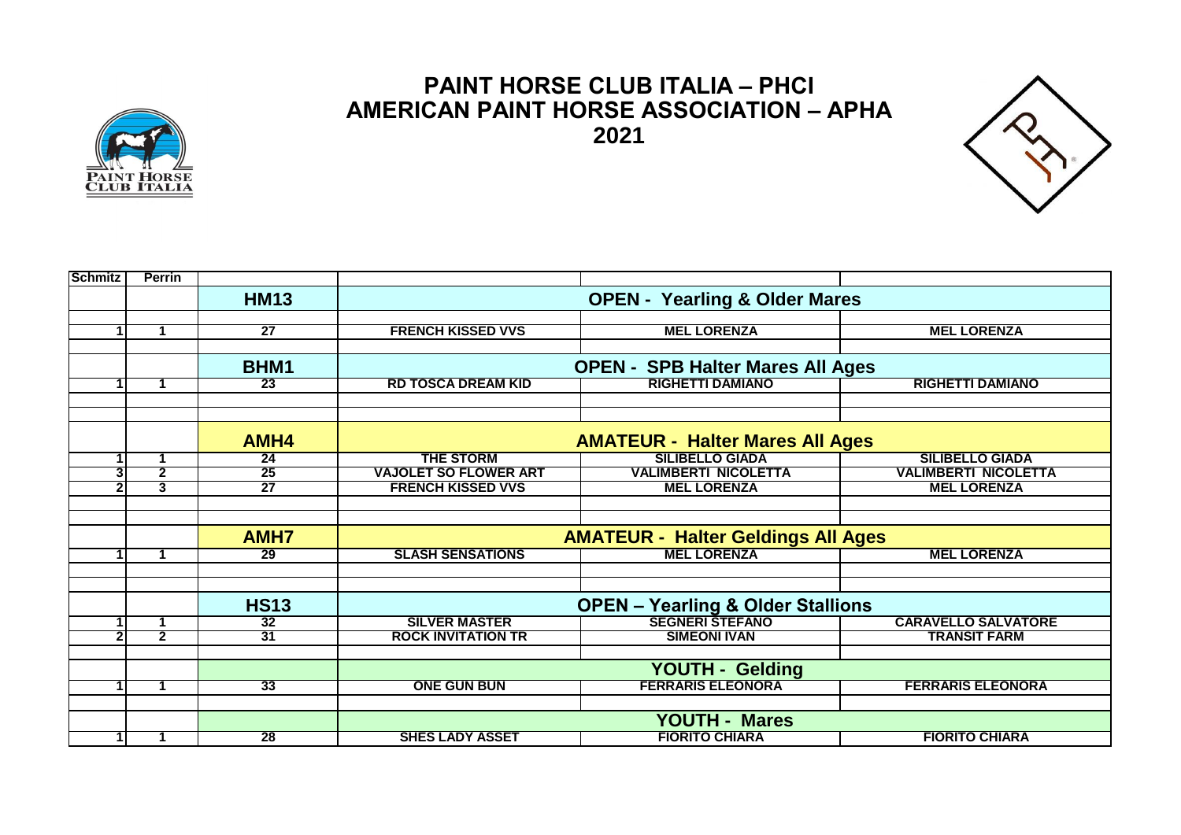

## **PAINT HORSE CLUB ITALIA – PHCI AMERICAN PAINT HORSE ASSOCIATION – APHA 2021**



| <b>Schmitz</b>          | <b>Perrin</b>           |                 |                                              |                             |                             |  |
|-------------------------|-------------------------|-----------------|----------------------------------------------|-----------------------------|-----------------------------|--|
|                         |                         | <b>HM13</b>     | <b>OPEN - Yearling &amp; Older Mares</b>     |                             |                             |  |
|                         |                         |                 |                                              |                             |                             |  |
| 1                       | $\blacktriangleleft$    | $\overline{27}$ | <b>FRENCH KISSED VVS</b>                     | <b>MEL LORENZA</b>          | <b>MEL LORENZA</b>          |  |
|                         |                         |                 |                                              |                             |                             |  |
|                         |                         | BHM1            | <b>OPEN - SPB Halter Mares All Ages</b>      |                             |                             |  |
|                         |                         | 23              | <b>RD TOSCA DREAM KID</b>                    | <b>RIGHETTI DAMIANO</b>     | <b>RIGHETTI DAMIANO</b>     |  |
|                         |                         |                 |                                              |                             |                             |  |
|                         |                         |                 |                                              |                             |                             |  |
|                         |                         | AMH4            | <b>AMATEUR - Halter Mares All Ages</b>       |                             |                             |  |
| $\blacktriangleleft$    | 1                       | $\overline{24}$ | <b>THE STORM</b>                             | <b>SILIBELLO GIADA</b>      | <b>SILIBELLO GIADA</b>      |  |
| 3                       | $\overline{\mathbf{2}}$ | 25              | <b>VAJOLET SO FLOWER ART</b>                 | <b>VALIMBERTI NICOLETTA</b> | <b>VALIMBERTI NICOLETTA</b> |  |
| $\mathbf{c}$            | $\overline{3}$          | $\overline{27}$ | <b>FRENCH KISSED VVS</b>                     | <b>MEL LORENZA</b>          | <b>MEL LORENZA</b>          |  |
|                         |                         |                 |                                              |                             |                             |  |
|                         |                         |                 |                                              |                             |                             |  |
|                         |                         | <b>AMH7</b>     | <b>AMATEUR - Halter Geldings All Ages</b>    |                             |                             |  |
|                         |                         | 29              | <b>SLASH SENSATIONS</b>                      | <b>MEL LORENZA</b>          | <b>MEL LORENZA</b>          |  |
|                         |                         |                 |                                              |                             |                             |  |
|                         |                         |                 |                                              |                             |                             |  |
|                         |                         | <b>HS13</b>     | <b>OPEN - Yearling &amp; Older Stallions</b> |                             |                             |  |
|                         |                         | 32              | <b>SILVER MASTER</b>                         |                             | <b>CARAVELLO SALVATORE</b>  |  |
| $\overline{\mathbf{c}}$ | $\overline{2}$          | 31              | <b>ROCK INVITATION TR</b>                    | <b>SIMEONI IVAN</b>         | <b>TRANSIT FARM</b>         |  |
|                         |                         |                 |                                              |                             |                             |  |
|                         |                         |                 | YOUTH - Gelding                              |                             |                             |  |
|                         |                         | 33              | <b>ONE GUN BUN</b>                           | <b>FERRARIS ELEONORA</b>    | <b>FERRARIS ELEONORA</b>    |  |
|                         |                         |                 |                                              |                             |                             |  |
|                         |                         |                 | <b>YOUTH - Mares</b>                         |                             |                             |  |
| 11                      | 1                       | $\overline{28}$ | <b>SHES LADY ASSET</b>                       | <b>FIORITO CHIARA</b>       | <b>FIORITO CHIARA</b>       |  |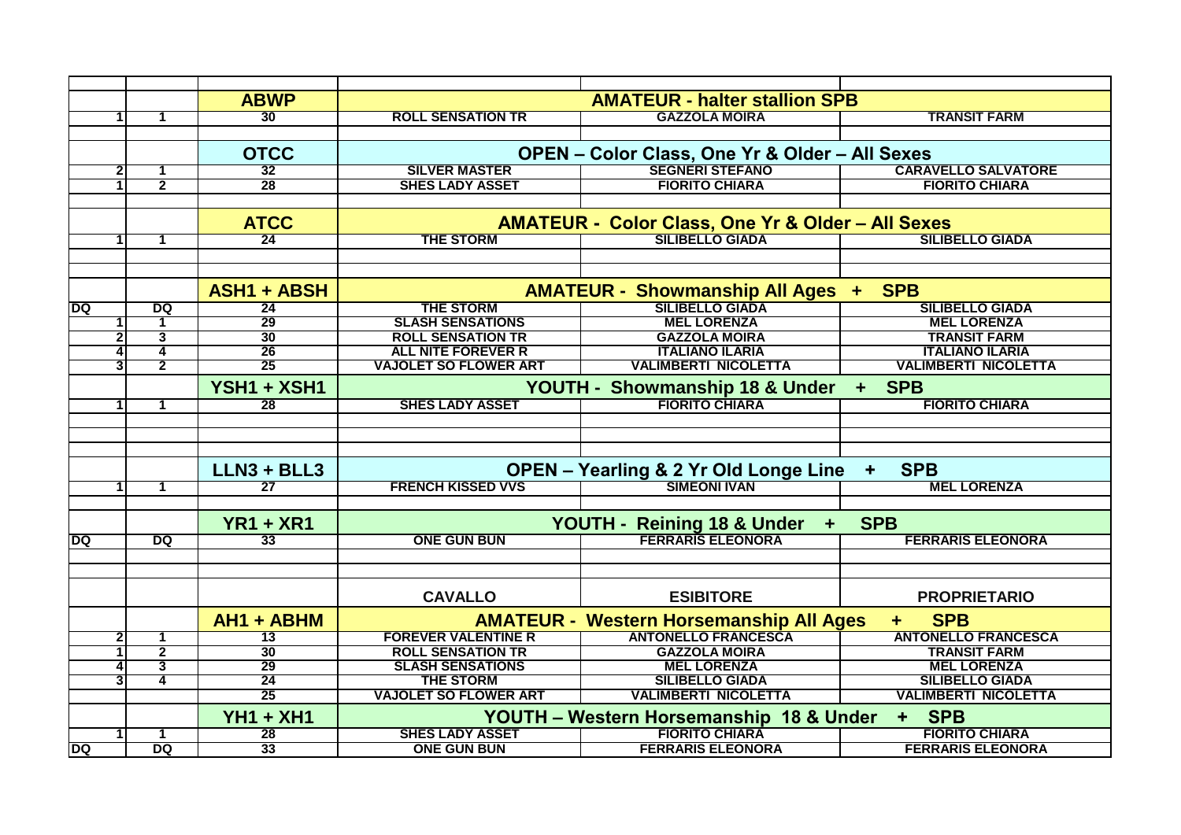|                     |                         | <b>ABWP</b>        | <b>AMATEUR - halter stallion SPB</b>                             |                                                              |                             |  |
|---------------------|-------------------------|--------------------|------------------------------------------------------------------|--------------------------------------------------------------|-----------------------------|--|
|                     | 1                       | 30                 | <b>ROLL SENSATION TR</b>                                         | <b>GAZZOLA MOIRA</b>                                         | <b>TRANSIT FARM</b>         |  |
|                     |                         |                    |                                                                  |                                                              |                             |  |
|                     |                         | <b>OTCC</b>        | OPEN - Color Class, One Yr & Older - All Sexes                   |                                                              |                             |  |
| $\overline{2}$      | -1                      | 32                 | <b>SILVER MASTER</b>                                             |                                                              | <b>CARAVELLO SALVATORE</b>  |  |
|                     | $\overline{2}$          | 28                 | <b>SHES LADY ASSET</b>                                           | <b>FIORITO CHIARA</b>                                        | <b>FIORITO CHIARA</b>       |  |
|                     |                         |                    |                                                                  |                                                              |                             |  |
|                     |                         | <b>ATCC</b>        |                                                                  | <b>AMATEUR - Color Class, One Yr &amp; Older - All Sexes</b> |                             |  |
|                     | 1                       | 24                 | <b>THE STORM</b>                                                 | SILIBELLO GIADA                                              | <b>SILIBELLO GIADA</b>      |  |
|                     |                         |                    |                                                                  |                                                              |                             |  |
|                     |                         |                    |                                                                  |                                                              |                             |  |
|                     |                         | <b>ASH1 + ABSH</b> | <b>SPB</b><br><b>AMATEUR - Showmanship All Ages +</b>            |                                                              |                             |  |
| DQ                  | DQ                      | $\overline{24}$    | <b>THE STORM</b>                                                 |                                                              | <b>SILIBELLO GIADA</b>      |  |
|                     | 1                       | 29                 | <b>SLASH SENSATIONS</b>                                          | <b>MEL LORENZA</b>                                           | <b>MEL LORENZA</b>          |  |
| $\mathbf{2}$        | 3                       | 30                 | <b>ROLL SENSATION TR</b>                                         | <b>GAZZOLA MOIRA</b>                                         | <b>TRANSIT FARM</b>         |  |
|                     | 4                       | 26                 | <b>ALL NITE FOREVER R</b>                                        | <b>ITALIANO ILARIA</b>                                       | <b>ITALIANO ILARIA</b>      |  |
| 3                   | $\overline{\mathbf{2}}$ | 25                 | <b>VAJOLET SO FLOWER ART</b>                                     | <b>VALIMBERTI NICOLETTA</b>                                  | <b>VALIMBERTI NICOLETTA</b> |  |
|                     |                         | YSH1 + XSH1        | YOUTH - Showmanship 18 & Under<br>+ SPB                          |                                                              |                             |  |
|                     | 1                       | $\overline{28}$    | <b>SHES LADY ASSET</b>                                           | <b>FIORITO CHIARA</b>                                        | <b>FIORITO CHIARA</b>       |  |
|                     |                         |                    |                                                                  |                                                              |                             |  |
|                     |                         |                    |                                                                  |                                                              |                             |  |
|                     |                         |                    |                                                                  |                                                              |                             |  |
|                     |                         | LLN3 + BLL3        |                                                                  | <b>OPEN - Yearling &amp; 2 Yr Old Longe Line</b>             | <b>SPB</b><br>٠             |  |
|                     | 1                       | 27                 | <b>FRENCH KISSED VVS</b>                                         | <b>SIMEONI IVAN</b>                                          | <b>MEL LORENZA</b>          |  |
|                     |                         |                    |                                                                  |                                                              |                             |  |
|                     |                         |                    |                                                                  |                                                              |                             |  |
|                     |                         | <b>YR1 + XR1</b>   | <b>SPB</b><br>YOUTH - Reining 18 & Under<br>$\ddot{\phantom{1}}$ |                                                              |                             |  |
| DQ                  | DQ                      | $\overline{33}$    | <b>ONE GUN BUN</b>                                               | <b>FERRARIS ELEONORA</b>                                     | <b>FERRARIS ELEONORA</b>    |  |
|                     |                         |                    |                                                                  |                                                              |                             |  |
|                     |                         |                    |                                                                  |                                                              |                             |  |
|                     |                         |                    | <b>CAVALLO</b>                                                   | <b>ESIBITORE</b>                                             | <b>PROPRIETARIO</b>         |  |
| $\overline{2}$<br>3 |                         | AH1 + ABHM         | <b>AMATEUR - Western Horsemanship All Ages</b><br><b>SPB</b>     |                                                              |                             |  |
|                     | $\mathbf 1$             | 13                 | <b>FOREVER VALENTINE R</b>                                       | <b>ANTONELLO FRANCESCA</b>                                   | <b>ANTONELLO FRANCESCA</b>  |  |
|                     | $\overline{2}$          | 30                 | <b>ROLL SENSATION TR</b>                                         | <b>GAZZOLA MOIRA</b>                                         | <b>TRANSIT FARM</b>         |  |
|                     | 3                       | 29                 | <b>SLASH SENSATIONS</b>                                          | <b>MEL LORENZA</b>                                           | <b>MEL LORENZA</b>          |  |
|                     | 4                       | 24                 | <b>THE STORM</b>                                                 | <b>SILIBELLO GIADA</b>                                       | <b>SILIBELLO GIADA</b>      |  |
|                     |                         | 25                 | <b>VAJOLET SO FLOWER ART</b>                                     | <b>VALIMBERTI NICOLETTA</b>                                  | <b>VALIMBERTI NICOLETTA</b> |  |
|                     |                         | <b>YH1 + XH1</b>   | YOUTH - Western Horsemanship 18 & Under<br>+ SPB                 |                                                              |                             |  |
|                     | $\mathbf 1$             | 28                 | <b>SHES LADY ASSET</b>                                           | <b>FIORITO CHIARA</b>                                        | <b>FIORITO CHIARA</b>       |  |
| DQ                  | DQ                      | 33                 | <b>ONE GUN BUN</b>                                               | <b>FERRARIS ELEONORA</b>                                     | <b>FERRARIS ELEONORA</b>    |  |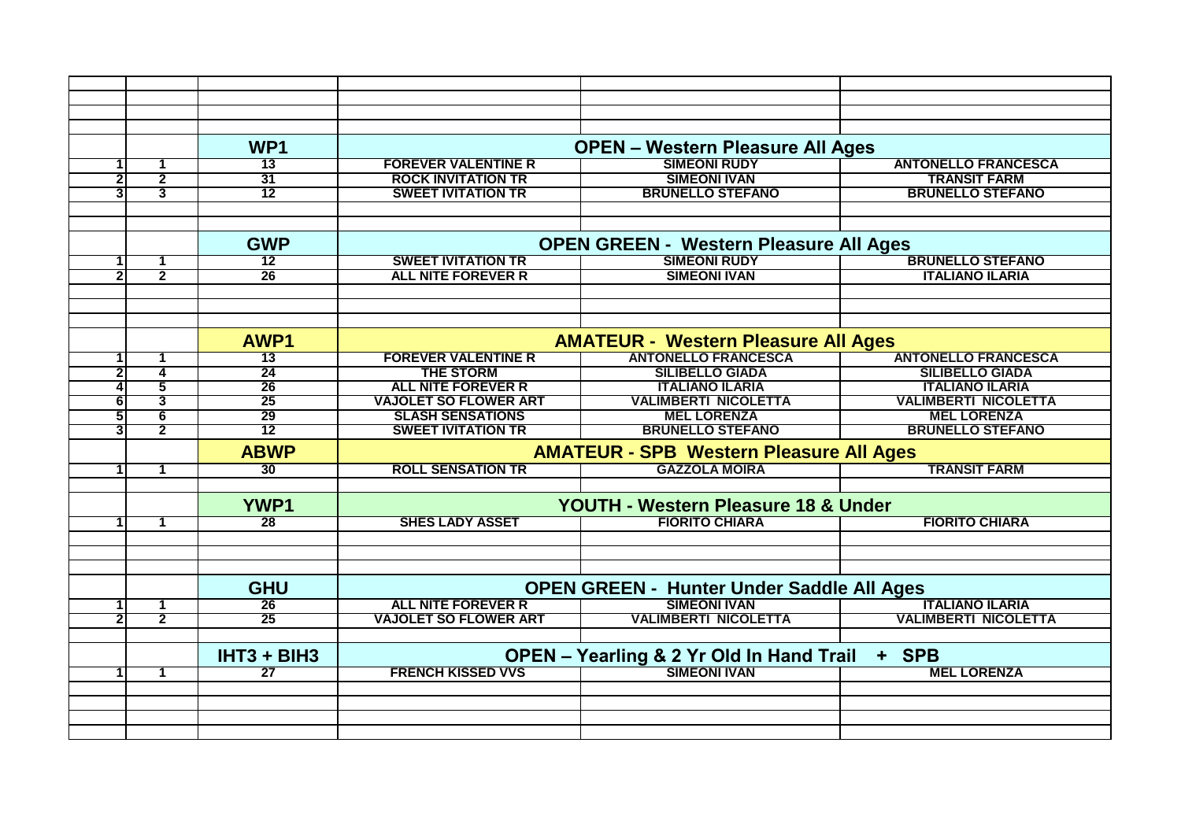|                         |                | WP <sub>1</sub> | <b>OPEN - Western Pleasure All Ages</b>                      |                             |                             |  |
|-------------------------|----------------|-----------------|--------------------------------------------------------------|-----------------------------|-----------------------------|--|
|                         | 1              | 13              | <b>FOREVER VALENTINE R</b>                                   | <b>SIMEONI RUDY</b>         | <b>ANTONELLO FRANCESCA</b>  |  |
| 2                       | $\overline{2}$ | 31              | <b>ROCK INVITATION TR</b>                                    | <b>SIMEONI IVAN</b>         | <b>TRANSIT FARM</b>         |  |
| 3                       | $\overline{3}$ | $\overline{12}$ | <b>SWEET IVITATION TR</b>                                    | <b>BRUNELLO STEFANO</b>     | <b>BRUNELLO STEFANO</b>     |  |
|                         |                |                 |                                                              |                             |                             |  |
|                         |                |                 |                                                              |                             |                             |  |
|                         |                | <b>GWP</b>      | <b>OPEN GREEN - Western Pleasure All Ages</b>                |                             |                             |  |
| 1                       | 1              | 12              | <b>SWEET IVITATION TR</b>                                    | <b>SIMEONI RUDY</b>         | <b>BRUNELLO STEFANO</b>     |  |
| $\overline{\mathbf{c}}$ | $\overline{2}$ | 26              | <b>ALL NITE FOREVER R</b>                                    | <b>SIMEONI IVAN</b>         | <b>ITALIANO ILARIA</b>      |  |
|                         |                |                 |                                                              |                             |                             |  |
|                         |                |                 |                                                              |                             |                             |  |
|                         |                |                 |                                                              |                             |                             |  |
|                         |                | AWP1            | <b>AMATEUR - Western Pleasure All Ages</b>                   |                             |                             |  |
| 1                       | 1              | 13              | <b>FOREVER VALENTINE R</b>                                   | <b>ANTONELLO FRANCESCA</b>  | <b>ANTONELLO FRANCESCA</b>  |  |
| 2                       | 4              | 24              | <b>THE STORM</b>                                             | <b>SILIBELLO GIADA</b>      | <b>SILIBELLO GIADA</b>      |  |
| 4                       | $\overline{5}$ | 26              | <b>ALL NITE FOREVER R</b>                                    | <b>ITALIANO ILARIA</b>      | <b>ITALIANO ILARIA</b>      |  |
| 6                       | 3              | 25              | <b>VAJOLET SO FLOWER ART</b>                                 | <b>VALIMBERTI NICOLETTA</b> | <b>VALIMBERTI NICOLETTA</b> |  |
| 5                       | 6              | 29              | <b>SLASH SENSATIONS</b>                                      | <b>MEL LORENZA</b>          | <b>MEL LORENZA</b>          |  |
| 3                       | $\overline{2}$ | 12              | <b>SWEET IVITATION TR</b>                                    | <b>BRUNELLO STEFANO</b>     | <b>BRUNELLO STEFANO</b>     |  |
|                         |                | <b>ABWP</b>     | <b>AMATEUR - SPB Western Pleasure All Ages</b>               |                             |                             |  |
| $\mathbf{1}$            | 1              | 30              | <b>ROLL SENSATION TR</b>                                     | <b>GAZZOLA MOIRA</b>        | <b>TRANSIT FARM</b>         |  |
|                         |                |                 |                                                              |                             |                             |  |
|                         |                | <b>YWP1</b>     | <b>YOUTH - Western Pleasure 18 &amp; Under</b>               |                             |                             |  |
| 1                       | 1              | 28              | <b>SHES LADY ASSET</b>                                       | <b>FIORITO CHIARA</b>       | <b>FIORITO CHIARA</b>       |  |
|                         |                |                 |                                                              |                             |                             |  |
|                         |                |                 |                                                              |                             |                             |  |
|                         |                |                 |                                                              |                             |                             |  |
|                         |                | <b>GHU</b>      | <b>OPEN GREEN - Hunter Under Saddle All Ages</b>             |                             |                             |  |
| 1                       | 1              | 26              | <b>ALL NITE FOREVER R</b>                                    | <b>SIMEONI IVAN</b>         | <b>ITALIANO ILARIA</b>      |  |
| 2                       | $\overline{2}$ | 25              | <b>VAJOLET SO FLOWER ART</b>                                 | <b>VALIMBERTI NICOLETTA</b> | <b>VALIMBERTI NICOLETTA</b> |  |
|                         |                |                 |                                                              |                             |                             |  |
|                         |                | $IHT3 + BIH3$   | <b>OPEN - Yearling &amp; 2 Yr Old In Hand Trail</b><br>+ SPB |                             |                             |  |
| $\mathbf{1}$            | $\mathbf 1$    | $\overline{27}$ | <b>FRENCH KISSED VVS</b>                                     | <b>SIMEONI IVAN</b>         | <b>MEL LORENZA</b>          |  |
|                         |                |                 |                                                              |                             |                             |  |
|                         |                |                 |                                                              |                             |                             |  |
|                         |                |                 |                                                              |                             |                             |  |
|                         |                |                 |                                                              |                             |                             |  |